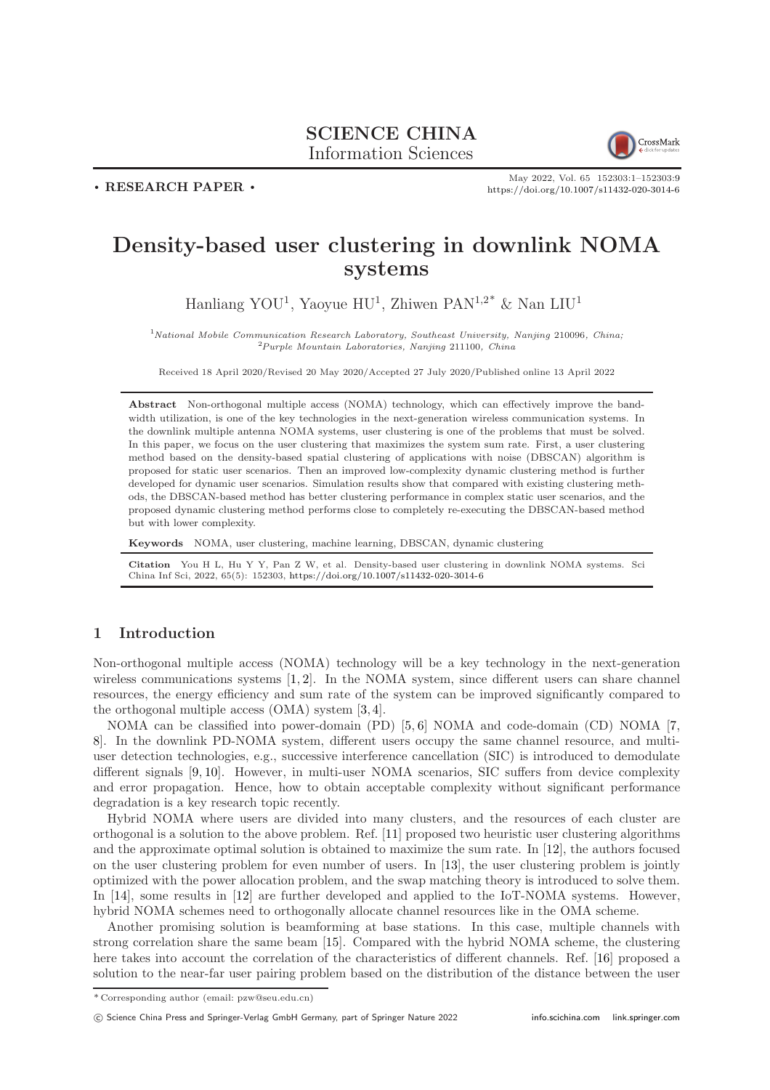# SCIENCE CHINA Information Sciences



. RESEARCH PAPER .

May 2022, Vol. 65 152303:1–152303[:9](#page-8-0) <https://doi.org/10.1007/s11432-020-3014-6>

# Density-based user clustering in downlink NOMA systems

Hanliang YOU<sup>1</sup>, Yaoyue HU<sup>1</sup>, Zhiwen PAN<sup>1,2\*</sup> & Nan LIU<sup>1</sup>

 $1$ <sup>N</sup>ational Mobile Communication Research Laboratory, Southeast University, Nanjing 210096, China;  $2Purple$  Mountain Laboratories, Nanjing 211100, China

Received 18 April 2020/Revised 20 May 2020/Accepted 27 July 2020/Published online 13 April 2022

Abstract Non-orthogonal multiple access (NOMA) technology, which can effectively improve the bandwidth utilization, is one of the key technologies in the next-generation wireless communication systems. In the downlink multiple antenna NOMA systems, user clustering is one of the problems that must be solved. In this paper, we focus on the user clustering that maximizes the system sum rate. First, a user clustering method based on the density-based spatial clustering of applications with noise (DBSCAN) algorithm is proposed for static user scenarios. Then an improved low-complexity dynamic clustering method is further developed for dynamic user scenarios. Simulation results show that compared with existing clustering methods, the DBSCAN-based method has better clustering performance in complex static user scenarios, and the proposed dynamic clustering method performs close to completely re-executing the DBSCAN-based method but with lower complexity.

Keywords NOMA, user clustering, machine learning, DBSCAN, dynamic clustering

Citation You H L, Hu Y Y, Pan Z W, et al. Density-based user clustering in downlink NOMA systems. Sci China Inf Sci, 2022, 65(5): 152303, <https://doi.org/10.1007/s11432-020-3014-6>

# 1 Introduction

Non-orthogonal multiple access (NOMA) technology will be a key technology in the next-generation wireless communications systems [\[1,](#page-8-1) [2\]](#page-8-2). In the NOMA system, since different users can share channel resources, the energy efficiency and sum rate of the system can be improved significantly compared to the orthogonal multiple access (OMA) system [\[3,](#page-8-3) [4\]](#page-8-4).

NOMA can be classified into power-domain (PD) [\[5,](#page-8-5) [6\]](#page-8-6) NOMA and code-domain (CD) NOMA [\[7,](#page-8-7) [8\]](#page-8-8). In the downlink PD-NOMA system, different users occupy the same channel resource, and multiuser detection technologies, e.g., successive interference cancellation (SIC) is introduced to demodulate different signals [\[9,](#page-8-9) [10\]](#page-8-10). However, in multi-user NOMA scenarios, SIC suffers from device complexity and error propagation. Hence, how to obtain acceptable complexity without significant performance degradation is a key research topic recently.

Hybrid NOMA where users are divided into many clusters, and the resources of each cluster are orthogonal is a solution to the above problem. Ref. [\[11\]](#page-8-11) proposed two heuristic user clustering algorithms and the approximate optimal solution is obtained to maximize the sum rate. In [\[12\]](#page-8-12), the authors focused on the user clustering problem for even number of users. In [\[13\]](#page-8-13), the user clustering problem is jointly optimized with the power allocation problem, and the swap matching theory is introduced to solve them. In [\[14\]](#page-8-14), some results in [\[12\]](#page-8-12) are further developed and applied to the IoT-NOMA systems. However, hybrid NOMA schemes need to orthogonally allocate channel resources like in the OMA scheme.

Another promising solution is beamforming at base stations. In this case, multiple channels with strong correlation share the same beam [\[15\]](#page-8-15). Compared with the hybrid NOMA scheme, the clustering here takes into account the correlation of the characteristics of different channels. Ref. [\[16\]](#page-8-16) proposed a solution to the near-far user pairing problem based on the distribution of the distance between the user

<sup>\*</sup> Corresponding author (email: pzw@seu.edu.cn)

c Science China Press and Springer-Verlag GmbH Germany, part of Springer Nature 2022 <info.scichina.com><link.springer.com>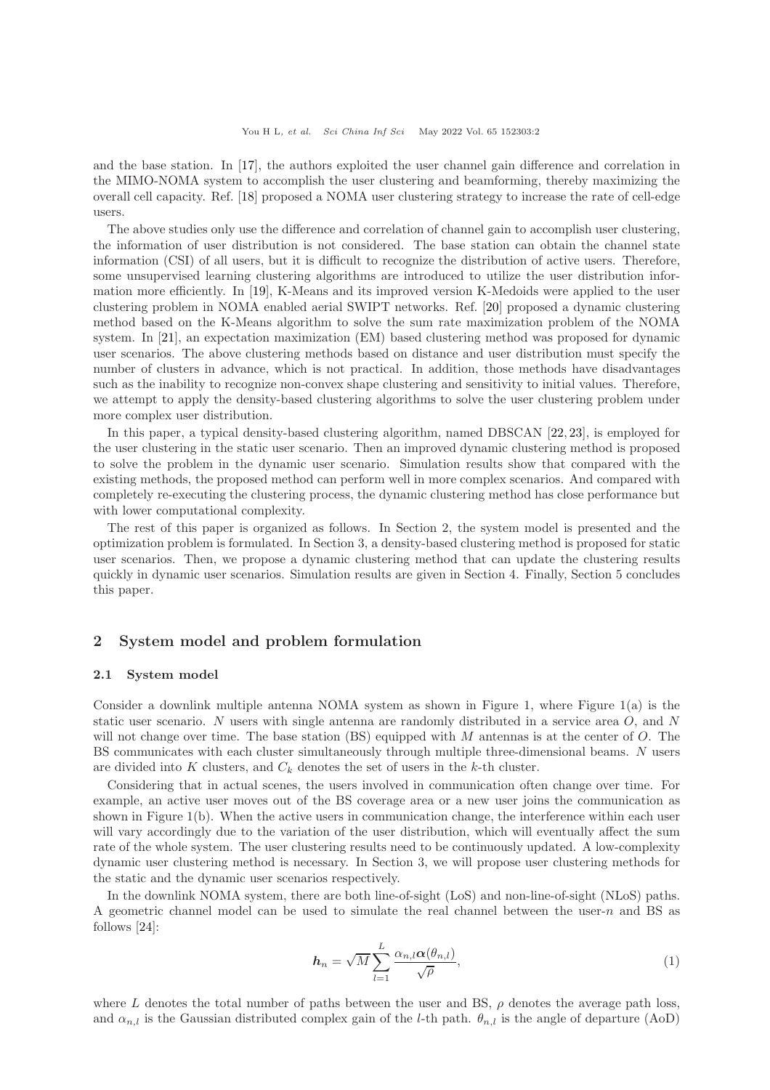and the base station. In [\[17\]](#page-8-17), the authors exploited the user channel gain difference and correlation in the MIMO-NOMA system to accomplish the user clustering and beamforming, thereby maximizing the overall cell capacity. Ref. [\[18\]](#page-8-18) proposed a NOMA user clustering strategy to increase the rate of cell-edge users.

The above studies only use the difference and correlation of channel gain to accomplish user clustering, the information of user distribution is not considered. The base station can obtain the channel state information (CSI) of all users, but it is difficult to recognize the distribution of active users. Therefore, some unsupervised learning clustering algorithms are introduced to utilize the user distribution information more efficiently. In [\[19\]](#page-8-19), K-Means and its improved version K-Medoids were applied to the user clustering problem in NOMA enabled aerial SWIPT networks. Ref. [\[20\]](#page-8-20) proposed a dynamic clustering method based on the K-Means algorithm to solve the sum rate maximization problem of the NOMA system. In [\[21\]](#page-8-21), an expectation maximization (EM) based clustering method was proposed for dynamic user scenarios. The above clustering methods based on distance and user distribution must specify the number of clusters in advance, which is not practical. In addition, those methods have disadvantages such as the inability to recognize non-convex shape clustering and sensitivity to initial values. Therefore, we attempt to apply the density-based clustering algorithms to solve the user clustering problem under more complex user distribution.

In this paper, a typical density-based clustering algorithm, named DBSCAN [\[22,](#page-8-22) [23\]](#page-8-23), is employed for the user clustering in the static user scenario. Then an improved dynamic clustering method is proposed to solve the problem in the dynamic user scenario. Simulation results show that compared with the existing methods, the proposed method can perform well in more complex scenarios. And compared with completely re-executing the clustering process, the dynamic clustering method has close performance but with lower computational complexity.

The rest of this paper is organized as follows. In Section 2, the system model is presented and the optimization problem is formulated. In Section 3, a density-based clustering method is proposed for static user scenarios. Then, we propose a dynamic clustering method that can update the clustering results quickly in dynamic user scenarios. Simulation results are given in Section 4. Finally, Section 5 concludes this paper.

# 2 System model and problem formulation

## 2.1 System model

Consider a downlink multiple antenna NOMA system as shown in Figure 1, where Figure 1(a) is the static user scenario. N users with single antenna are randomly distributed in a service area O, and N will not change over time. The base station  $(BS)$  equipped with M antennas is at the center of O. The BS communicates with each cluster simultaneously through multiple three-dimensional beams. N users are divided into K clusters, and  $C_k$  denotes the set of users in the k-th cluster.

Considering that in actual scenes, the users involved in communication often change over time. For example, an active user moves out of the BS coverage area or a new user joins the communication as shown in Figure 1(b). When the active users in communication change, the interference within each user will vary accordingly due to the variation of the user distribution, which will eventually affect the sum rate of the whole system. The user clustering results need to be continuously updated. A low-complexity dynamic user clustering method is necessary. In Section 3, we will propose user clustering methods for the static and the dynamic user scenarios respectively.

In the downlink NOMA system, there are both line-of-sight (LoS) and non-line-of-sight (NLoS) paths. A geometric channel model can be used to simulate the real channel between the user-n and BS as follows [\[24\]](#page-8-24):

$$
h_n = \sqrt{M} \sum_{l=1}^{L} \frac{\alpha_{n,l} \alpha(\theta_{n,l})}{\sqrt{\rho}},
$$
\n(1)

where L denotes the total number of paths between the user and BS,  $\rho$  denotes the average path loss, and  $\alpha_{n,l}$  is the Gaussian distributed complex gain of the *l*-th path.  $\theta_{n,l}$  is the angle of departure (AoD)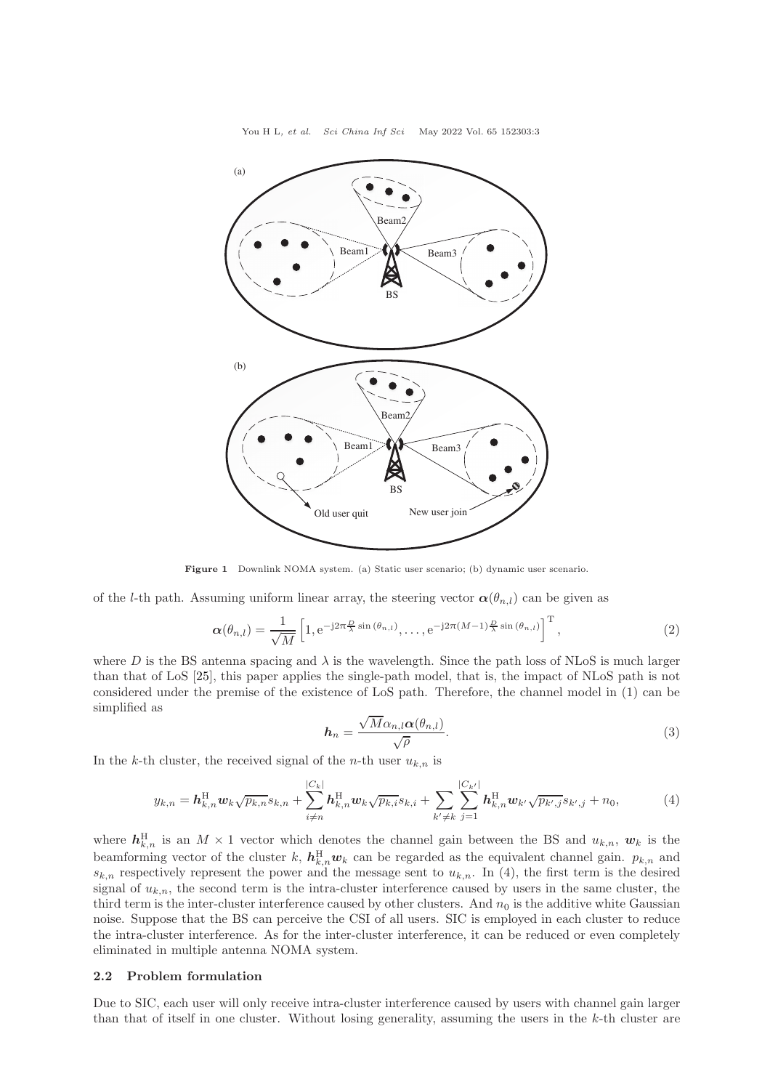You H L, et al. Sci China Inf Sci May 2022 Vol. 65 152303:3



Figure 1 Downlink NOMA system. (a) Static user scenario; (b) dynamic user scenario.

of the l-th path. Assuming uniform linear array, the steering vector  $\alpha(\theta_{n,l})$  can be given as

$$
\boldsymbol{\alpha}(\theta_{n,l}) = \frac{1}{\sqrt{M}} \left[ 1, e^{-j2\pi \frac{D}{\lambda} \sin(\theta_{n,l})}, \dots, e^{-j2\pi (M-1)\frac{D}{\lambda} \sin(\theta_{n,l})} \right]^{\mathrm{T}},
$$
\n(2)

where D is the BS antenna spacing and  $\lambda$  is the wavelength. Since the path loss of NLoS is much larger than that of LoS [\[25\]](#page-8-25), this paper applies the single-path model, that is, the impact of NLoS path is not considered under the premise of the existence of LoS path. Therefore, the channel model in (1) can be simplified as

$$
h_n = \frac{\sqrt{M}\alpha_{n,l}\alpha(\theta_{n,l})}{\sqrt{\rho}}.
$$
\n(3)

In the k-th cluster, the received signal of the n-th user  $u_{k,n}$  is

$$
y_{k,n} = \mathbf{h}_{k,n}^{\mathrm{H}} \mathbf{w}_k \sqrt{p_{k,n}} s_{k,n} + \sum_{i \neq n}^{|C_k|} \mathbf{h}_{k,n}^{\mathrm{H}} \mathbf{w}_k \sqrt{p_{k,i}} s_{k,i} + \sum_{k' \neq k}^{|C_{k'}|} \mathbf{h}_{k,n}^{\mathrm{H}} \mathbf{w}_{k'} \sqrt{p_{k',j}} s_{k',j} + n_0,
$$
(4)

where  $h_{k,n}^{\text{H}}$  is an  $M \times 1$  vector which denotes the channel gain between the BS and  $u_{k,n}$ ,  $w_k$  is the beamforming vector of the cluster k,  $h_{k,n}^{\text{H}}w_k$  can be regarded as the equivalent channel gain.  $p_{k,n}$  and  $s_{k,n}$  respectively represent the power and the message sent to  $u_{k,n}$ . In (4), the first term is the desired signal of  $u_{k,n}$ , the second term is the intra-cluster interference caused by users in the same cluster, the third term is the inter-cluster interference caused by other clusters. And  $n_0$  is the additive white Gaussian noise. Suppose that the BS can perceive the CSI of all users. SIC is employed in each cluster to reduce the intra-cluster interference. As for the inter-cluster interference, it can be reduced or even completely eliminated in multiple antenna NOMA system.

## 2.2 Problem formulation

Due to SIC, each user will only receive intra-cluster interference caused by users with channel gain larger than that of itself in one cluster. Without losing generality, assuming the users in the  $k$ -th cluster are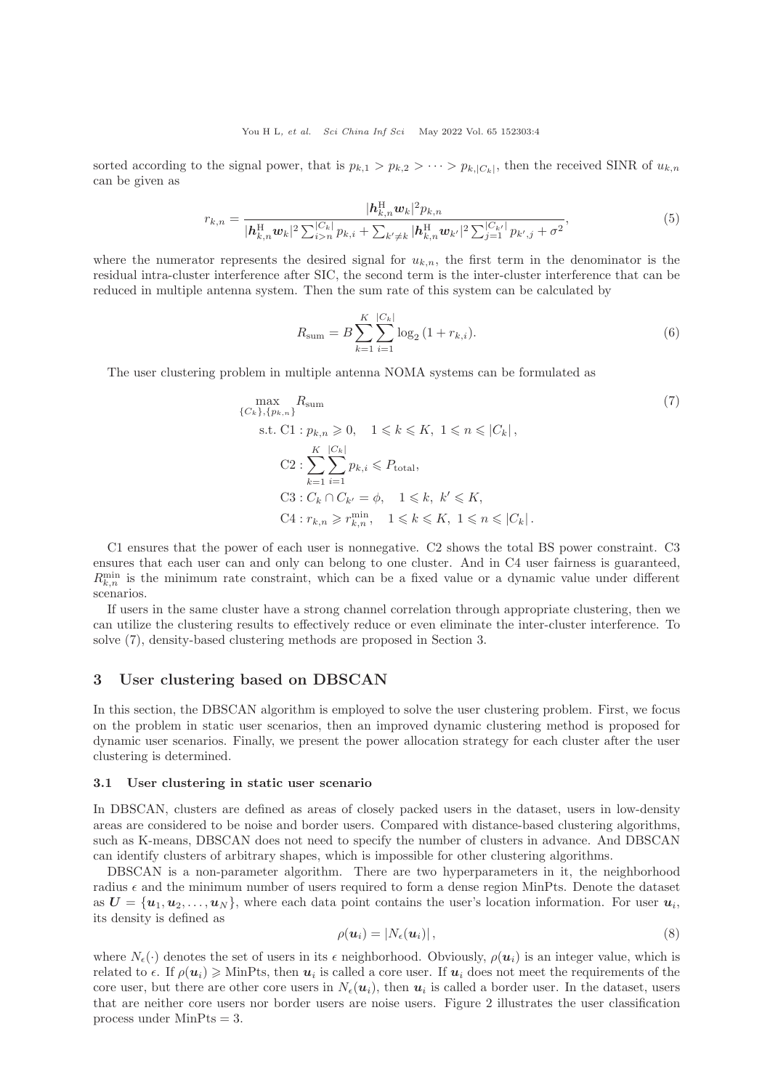sorted according to the signal power, that is  $p_{k,1} > p_{k,2} > \cdots > p_{k,|C_k|}$ , then the received SINR of  $u_{k,n}$ can be given as

$$
r_{k,n} = \frac{|\boldsymbol{h}_{k,n}^{\mathrm{H}} \boldsymbol{w}_k|^2 p_{k,n}}{|\boldsymbol{h}_{k,n}^{\mathrm{H}} \boldsymbol{w}_k|^2 \sum_{i>n}^{|C_k|} p_{k,i} + \sum_{k' \neq k} |\boldsymbol{h}_{k,n}^{\mathrm{H}} \boldsymbol{w}_{k'}|^2 \sum_{j=1}^{|C_{k'}|} p_{k',j} + \sigma^2},\tag{5}
$$

where the numerator represents the desired signal for  $u_{k,n}$ , the first term in the denominator is the residual intra-cluster interference after SIC, the second term is the inter-cluster interference that can be reduced in multiple antenna system. Then the sum rate of this system can be calculated by

$$
R_{\text{sum}} = B \sum_{k=1}^{K} \sum_{i=1}^{|C_k|} \log_2 \left( 1 + r_{k,i} \right). \tag{6}
$$

The user clustering problem in multiple antenna NOMA systems can be formulated as

$$
\max_{\{C_k\}, \{p_{k,n}\}} R_{\text{sum}}
$$
\n
$$
\text{s.t. C1}: p_{k,n} \geq 0, \quad 1 \leq k \leq K, \ 1 \leq n \leq |C_k|,
$$
\n
$$
\text{C2}: \sum_{k=1}^{K} \sum_{i=1}^{|C_k|} p_{k,i} \leq P_{\text{total}},
$$
\n
$$
\text{C3}: C_k \cap C_{k'} = \phi, \quad 1 \leq k, \ k' \leq K,
$$
\n
$$
\text{C4}: r_{k,n} \geq r_{k,n}^{\min}, \quad 1 \leq k \leq K, \ 1 \leq n \leq |C_k|.
$$
\n
$$
(7)
$$

C1 ensures that the power of each user is nonnegative. C2 shows the total BS power constraint. C3 ensures that each user can and only can belong to one cluster. And in C4 user fairness is guaranteed,  $R_{k,n}^{\min}$  is the minimum rate constraint, which can be a fixed value or a dynamic value under different scenarios.

If users in the same cluster have a strong channel correlation through appropriate clustering, then we can utilize the clustering results to effectively reduce or even eliminate the inter-cluster interference. To solve (7), density-based clustering methods are proposed in Section 3.

# 3 User clustering based on DBSCAN

In this section, the DBSCAN algorithm is employed to solve the user clustering problem. First, we focus on the problem in static user scenarios, then an improved dynamic clustering method is proposed for dynamic user scenarios. Finally, we present the power allocation strategy for each cluster after the user clustering is determined.

#### 3.1 User clustering in static user scenario

In DBSCAN, clusters are defined as areas of closely packed users in the dataset, users in low-density areas are considered to be noise and border users. Compared with distance-based clustering algorithms, such as K-means, DBSCAN does not need to specify the number of clusters in advance. And DBSCAN can identify clusters of arbitrary shapes, which is impossible for other clustering algorithms.

DBSCAN is a non-parameter algorithm. There are two hyperparameters in it, the neighborhood radius  $\epsilon$  and the minimum number of users required to form a dense region MinPts. Denote the dataset as  $\mathbf{U} = {\mathbf{u}_1, u_2, \dots, u_N}$ , where each data point contains the user's location information. For user  $u_i$ , its density is defined as

$$
\rho(\boldsymbol{u}_i) = |N_{\epsilon}(\boldsymbol{u}_i)|\,,\tag{8}
$$

where  $N_{\epsilon}(\cdot)$  denotes the set of users in its  $\epsilon$  neighborhood. Obviously,  $\rho(\mathbf{u}_i)$  is an integer value, which is related to  $\epsilon$ . If  $\rho(\boldsymbol{u}_i) \geqslant$  MinPts, then  $\boldsymbol{u}_i$  is called a core user. If  $\boldsymbol{u}_i$  does not meet the requirements of the core user, but there are other core users in  $N_{\epsilon}(u_i)$ , then  $u_i$  is called a border user. In the dataset, users that are neither core users nor border users are noise users. Figure 2 illustrates the user classification process under MinPts = 3.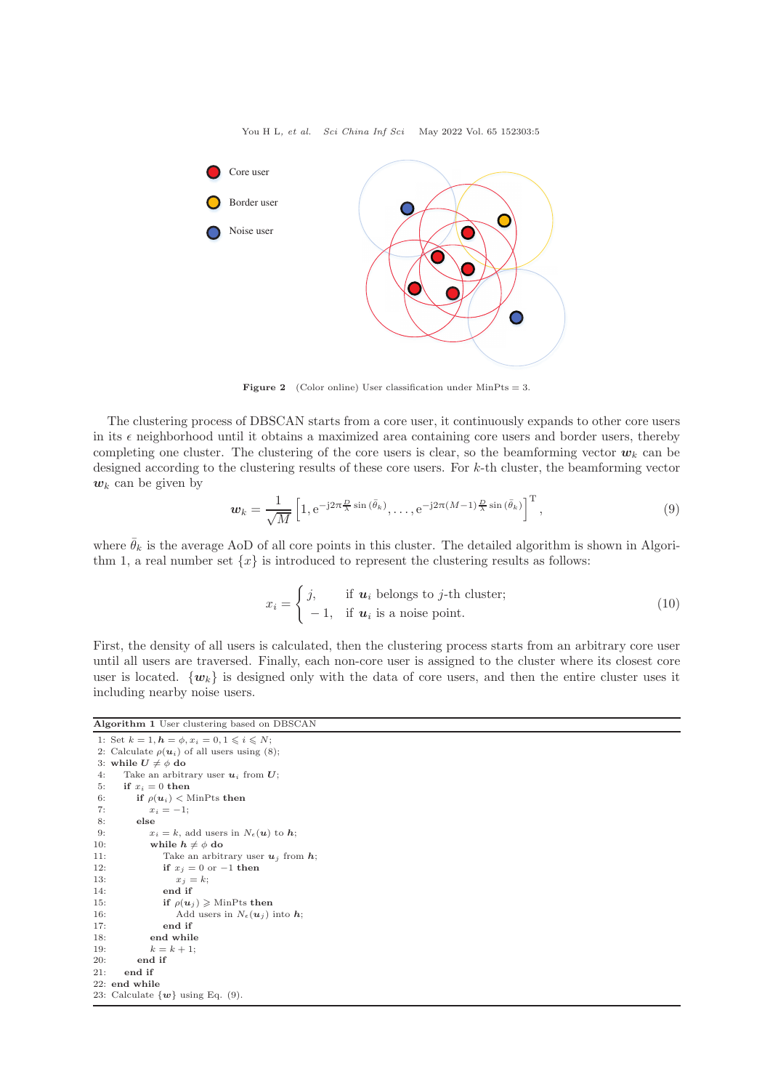

Figure 2 (Color online) User classification under MinPts = 3.

The clustering process of DBSCAN starts from a core user, it continuously expands to other core users in its  $\epsilon$  neighborhood until it obtains a maximized area containing core users and border users, thereby completing one cluster. The clustering of the core users is clear, so the beamforming vector  $w_k$  can be designed according to the clustering results of these core users. For k-th cluster, the beamforming vector  $w_k$  can be given by

$$
\boldsymbol{w}_k = \frac{1}{\sqrt{M}} \left[ 1, e^{-j2\pi \frac{D}{\lambda} \sin(\bar{\theta}_k)}, \dots, e^{-j2\pi (M-1)\frac{D}{\lambda} \sin(\bar{\theta}_k)} \right]^{\mathrm{T}},\tag{9}
$$

where  $\bar{\theta}_k$  is the average AoD of all core points in this cluster. The detailed algorithm is shown in Algorithm 1, a real number set  $\{x\}$  is introduced to represent the clustering results as follows:

$$
x_i = \begin{cases} j, & \text{if } u_i \text{ belongs to } j\text{-th cluster;} \\ -1, & \text{if } u_i \text{ is a noise point.} \end{cases} \tag{10}
$$

First, the density of all users is calculated, then the clustering process starts from an arbitrary core user until all users are traversed. Finally, each non-core user is assigned to the cluster where its closest core user is located.  $\{w_k\}$  is designed only with the data of core users, and then the entire cluster uses it including nearby noise users.

#### Algorithm 1 User clustering based on DBSCAN

```
1: Set k = 1, h = \phi, x_i = 0, 1 \leq i \leq N;
 2: Calculate \rho(\boldsymbol{u}_i) of all users using (8);
 3: while U \neq \phi do
 4: Take an arbitrary user u_i from U;<br>5: if x_i = 0 then
 5: if x_i = 0 then<br>6: if \rho(u_i) < 06: if \rho(\mathbf{u}_i) < MinPts then<br>7: x_i = -1;
 7: x_i = -1;<br>8: else
 8: else<br>9: xx_i = k, add users in N_{\epsilon}(\boldsymbol{u}) to \boldsymbol{h};
10: while h \neq \phi do
11: Take an arbitrary user u_j from h;
12: if x_j = 0 or -1 then
13: x_j = k;14: end if
15: if \rho(\mathbf{u}_i) \geqslant \text{MinPts} then
16: Add users in N_{\epsilon}(\boldsymbol{u}_j) into \boldsymbol{h};<br>17: end if
                  end if
18: end while
19: k = k + 1:
20 \cdot end if
21: end if
22: end while
23: Calculate \{w\} using Eq. (9).
```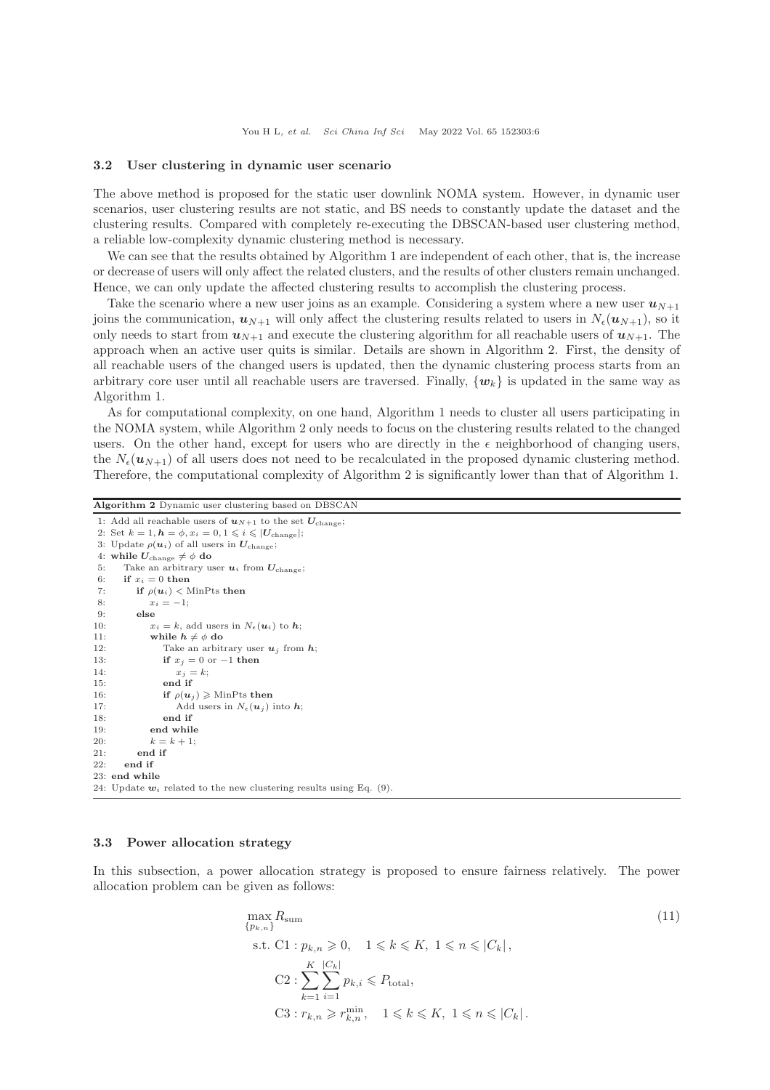#### 3.2 User clustering in dynamic user scenario

The above method is proposed for the static user downlink NOMA system. However, in dynamic user scenarios, user clustering results are not static, and BS needs to constantly update the dataset and the clustering results. Compared with completely re-executing the DBSCAN-based user clustering method, a reliable low-complexity dynamic clustering method is necessary.

We can see that the results obtained by Algorithm 1 are independent of each other, that is, the increase or decrease of users will only affect the related clusters, and the results of other clusters remain unchanged. Hence, we can only update the affected clustering results to accomplish the clustering process.

Take the scenario where a new user joins as an example. Considering a system where a new user  $u_{N+1}$ joins the communication,  $u_{N+1}$  will only affect the clustering results related to users in  $N_{\epsilon}(u_{N+1})$ , so it only needs to start from  $u_{N+1}$  and execute the clustering algorithm for all reachable users of  $u_{N+1}$ . The approach when an active user quits is similar. Details are shown in Algorithm 2. First, the density of all reachable users of the changed users is updated, then the dynamic clustering process starts from an arbitrary core user until all reachable users are traversed. Finally,  $\{w_k\}$  is updated in the same way as Algorithm 1.

As for computational complexity, on one hand, Algorithm 1 needs to cluster all users participating in the NOMA system, while Algorithm 2 only needs to focus on the clustering results related to the changed users. On the other hand, except for users who are directly in the  $\epsilon$  neighborhood of changing users, the  $N_{\epsilon}(\boldsymbol{u}_{N+1})$  of all users does not need to be recalculated in the proposed dynamic clustering method. Therefore, the computational complexity of Algorithm 2 is significantly lower than that of Algorithm 1.

Algorithm 2 Dynamic user clustering based on DBSCAN

```
1: Add all reachable users of u_{N+1} to the set U_{\text{change}};
 2: Set k = 1, h = \phi, x_i = 0, 1 \leq i \leq |U_{\text{change}}|;
 3: Update \rho(\boldsymbol{u}_i) of all users in \boldsymbol{U}_{\text{change}};
 4: while U_{\text{change}} \neq \phi do
 5: Take an arbitrary user u_i from U_{\text{change}};
 6: if x_i = 0 then
 7: if \rho(\mathbf{u}_i) < MinPts then
 8: x_i = -1;<br>9: else
           else
10: x_i = k, add users in N_{\epsilon}(\boldsymbol{u}_i) to \boldsymbol{h};
11: while h \neq \phi do
12: Take an arbitrary user u_j from h;
13: if x_j = 0 or -1 then
14: x_j = k;15: end if
16: if \rho(\mathbf{u}_i) \geqslant \text{MinPts} then
17: Add users in N_{\epsilon}(\boldsymbol{u}_j) into \boldsymbol{h};<br>18: end if
                  end if
19: end while<br>20: k = k + 1:
              k = k + 1;21: end if
22: end if
23: end while
24: Update w_i related to the new clustering results using Eq. (9).
```
## 3.3 Power allocation strategy

In this subsection, a power allocation strategy is proposed to ensure fairness relatively. The power allocation problem can be given as follows:

$$
\max_{\{p_{k,n}\}} R_{\text{sum}}
$$
\n
$$
\text{s.t. C1}: p_{k,n} \geq 0, \quad 1 \leq k \leq K, \ 1 \leq n \leq |C_k|,
$$
\n
$$
\text{C2}: \sum_{k=1}^{K} \sum_{i=1}^{|C_k|} p_{k,i} \leq P_{\text{total}},
$$
\n
$$
\text{C3}: r_{k,n} \geq r_{k,n}^{\min}, \quad 1 \leq k \leq K, \ 1 \leq n \leq |C_k|.
$$
\n
$$
(11)
$$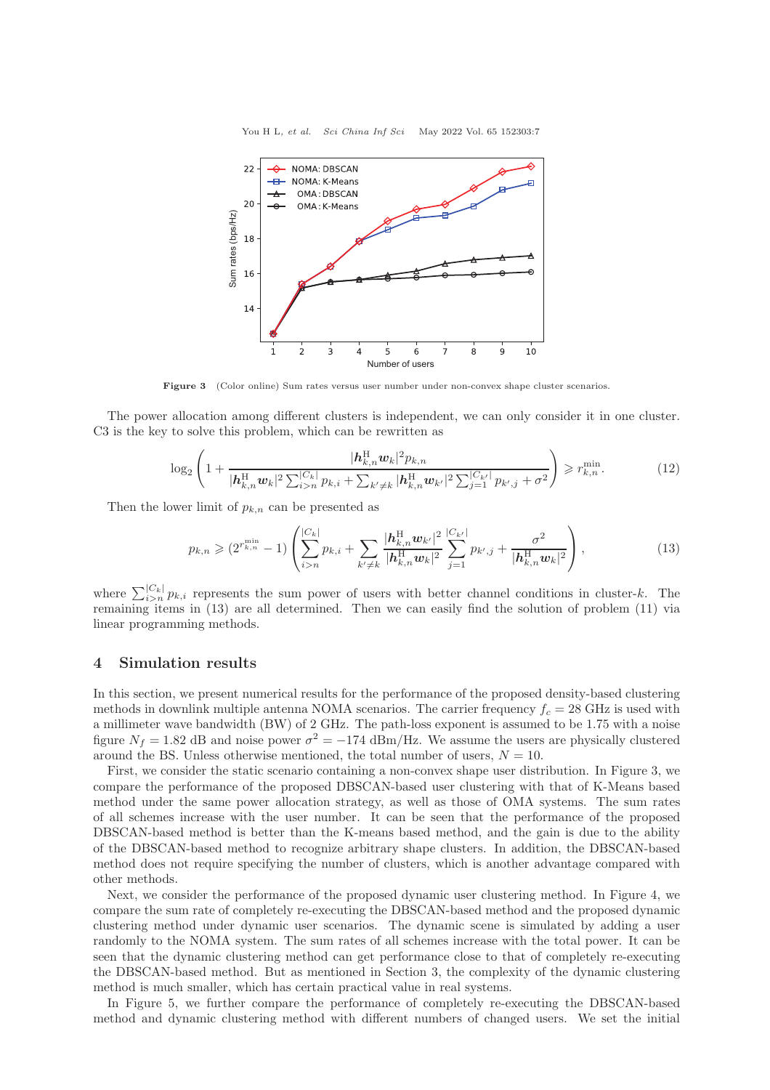You H L, et al. Sci China Inf Sci May 2022 Vol. 65 152303:7



Figure 3 (Color online) Sum rates versus user number under non-convex shape cluster scenarios.

The power allocation among different clusters is independent, we can only consider it in one cluster. C3 is the key to solve this problem, which can be rewritten as

$$
\log_2\left(1+\frac{|\boldsymbol{h}_{k,n}^{\mathrm{H}}\boldsymbol{w}_k|^2 p_{k,n}}{|\boldsymbol{h}_{k,n}^{\mathrm{H}}\boldsymbol{w}_k|^2 \sum_{i>n}^{|C_k|} p_{k,i} + \sum_{k'\neq k} |\boldsymbol{h}_{k,n}^{\mathrm{H}}\boldsymbol{w}_{k'}|^2 \sum_{j=1}^{|C_{k'}|} p_{k',j} + \sigma^2}\right) \geqslant r_{k,n}^{\min}.
$$
 (12)

Then the lower limit of  $p_{k,n}$  can be presented as

$$
p_{k,n} \geqslant (2^{r_{k,n}^{\min}} - 1) \left( \sum_{i>n}^{|C_k|} p_{k,i} + \sum_{k' \neq k} \frac{|h_{k,n}^{\text{H}} \mathbf{w}_{k'}|^2}{|h_{k,n}^{\text{H}} \mathbf{w}_k|^2} \sum_{j=1}^{|C_{k'}|} p_{k',j} + \frac{\sigma^2}{|h_{k,n}^{\text{H}} \mathbf{w}_k|^2} \right), \tag{13}
$$

where  $\sum_{i>n}^{|C_k|} p_{k,i}$  represents the sum power of users with better channel conditions in cluster-k. The remaining items in (13) are all determined. Then we can easily find the solution of problem (11) via linear programming methods.

## 4 Simulation results

In this section, we present numerical results for the performance of the proposed density-based clustering methods in downlink multiple antenna NOMA scenarios. The carrier frequency  $f_c = 28 \text{ GHz}$  is used with a millimeter wave bandwidth (BW) of 2 GHz. The path-loss exponent is assumed to be 1.75 with a noise figure  $N_f = 1.82$  dB and noise power  $\sigma^2 = -174$  dBm/Hz. We assume the users are physically clustered around the BS. Unless otherwise mentioned, the total number of users,  $N = 10$ .

First, we consider the static scenario containing a non-convex shape user distribution. In Figure 3, we compare the performance of the proposed DBSCAN-based user clustering with that of K-Means based method under the same power allocation strategy, as well as those of OMA systems. The sum rates of all schemes increase with the user number. It can be seen that the performance of the proposed DBSCAN-based method is better than the K-means based method, and the gain is due to the ability of the DBSCAN-based method to recognize arbitrary shape clusters. In addition, the DBSCAN-based method does not require specifying the number of clusters, which is another advantage compared with other methods.

Next, we consider the performance of the proposed dynamic user clustering method. In Figure 4, we compare the sum rate of completely re-executing the DBSCAN-based method and the proposed dynamic clustering method under dynamic user scenarios. The dynamic scene is simulated by adding a user randomly to the NOMA system. The sum rates of all schemes increase with the total power. It can be seen that the dynamic clustering method can get performance close to that of completely re-executing the DBSCAN-based method. But as mentioned in Section 3, the complexity of the dynamic clustering method is much smaller, which has certain practical value in real systems.

In Figure 5, we further compare the performance of completely re-executing the DBSCAN-based method and dynamic clustering method with different numbers of changed users. We set the initial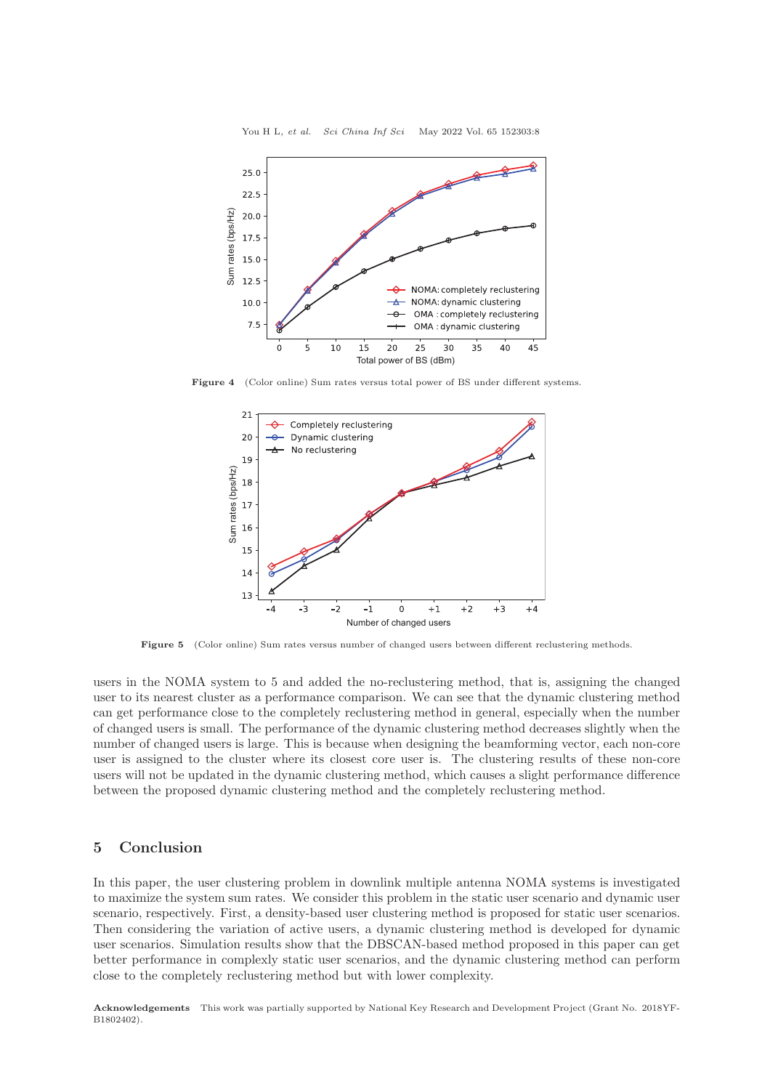

Figure 4 (Color online) Sum rates versus total power of BS under different systems.



Figure 5 (Color online) Sum rates versus number of changed users between different reclustering methods.

users in the NOMA system to 5 and added the no-reclustering method, that is, assigning the changed user to its nearest cluster as a performance comparison. We can see that the dynamic clustering method can get performance close to the completely reclustering method in general, especially when the number of changed users is small. The performance of the dynamic clustering method decreases slightly when the number of changed users is large. This is because when designing the beamforming vector, each non-core user is assigned to the cluster where its closest core user is. The clustering results of these non-core users will not be updated in the dynamic clustering method, which causes a slight performance difference between the proposed dynamic clustering method and the completely reclustering method.

# 5 Conclusion

In this paper, the user clustering problem in downlink multiple antenna NOMA systems is investigated to maximize the system sum rates. We consider this problem in the static user scenario and dynamic user scenario, respectively. First, a density-based user clustering method is proposed for static user scenarios. Then considering the variation of active users, a dynamic clustering method is developed for dynamic user scenarios. Simulation results show that the DBSCAN-based method proposed in this paper can get better performance in complexly static user scenarios, and the dynamic clustering method can perform close to the completely reclustering method but with lower complexity.

Acknowledgements This work was partially supported by National Key Research and Development Project (Grant No. 2018YF-B1802402).